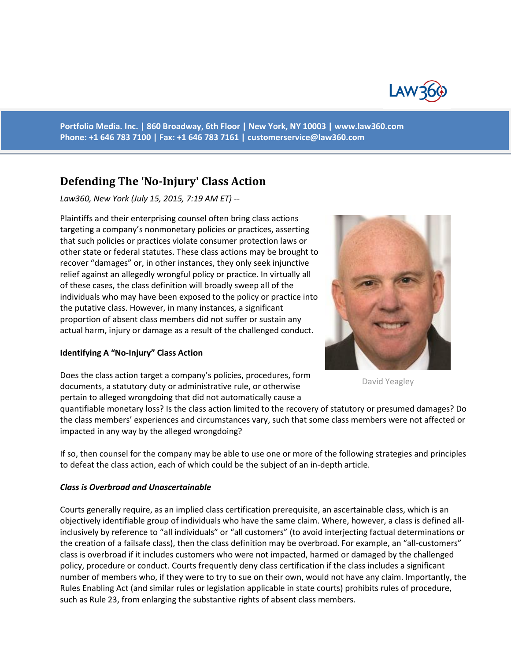

**Portfolio Media. Inc. | 860 Broadway, 6th Floor | New York, NY 10003 | www.law360.com Phone: +1 646 783 7100 | Fax: +1 646 783 7161 | [customerservice@law360.com](mailto:customerservice@law360.com)**

# **Defending The 'No-Injury' Class Action**

*Law360, New York (July 15, 2015, 7:19 AM ET) --*

Plaintiffs and their enterprising counsel often bring class actions targeting a company's nonmonetary policies or practices, asserting that such policies or practices violate consumer protection laws or other state or federal statutes. These class actions may be brought to recover "damages" or, in other instances, they only seek injunctive relief against an allegedly wrongful policy or practice. In virtually all of these cases, the class definition will broadly sweep all of the individuals who may have been exposed to the policy or practice into the putative class. However, in many instances, a significant proportion of absent class members did not suffer or sustain any actual harm, injury or damage as a result of the challenged conduct.

#### **Identifying A "No-Injury" Class Action**



David Yeagley

Does the class action target a company's policies, procedures, form documents, a statutory duty or administrative rule, or otherwise pertain to alleged wrongdoing that did not automatically cause a

quantifiable monetary loss? Is the class action limited to the recovery of statutory or presumed damages? Do the class members' experiences and circumstances vary, such that some class members were not affected or impacted in any way by the alleged wrongdoing?

If so, then counsel for the company may be able to use one or more of the following strategies and principles to defeat the class action, each of which could be the subject of an in-depth article.

#### *Class is Overbroad and Unascertainable*

Courts generally require, as an implied class certification prerequisite, an ascertainable class, which is an objectively identifiable group of individuals who have the same claim. Where, however, a class is defined allinclusively by reference to "all individuals" or "all customers" (to avoid interjecting factual determinations or the creation of a failsafe class), then the class definition may be overbroad. For example, an "all-customers" class is overbroad if it includes customers who were not impacted, harmed or damaged by the challenged policy, procedure or conduct. Courts frequently deny class certification if the class includes a significant number of members who, if they were to try to sue on their own, would not have any claim. Importantly, the Rules Enabling Act (and similar rules or legislation applicable in state courts) prohibits rules of procedure, such as Rule 23, from enlarging the substantive rights of absent class members.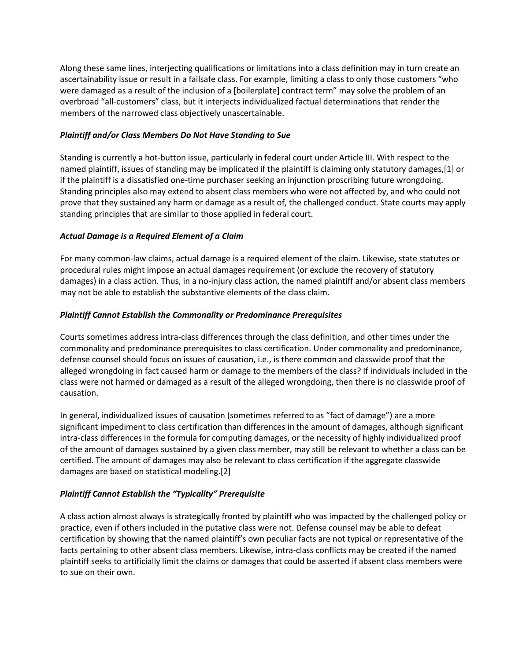Along these same lines, interjecting qualifications or limitations into a class definition may in turn create an ascertainability issue or result in a failsafe class. For example, limiting a class to only those customers "who were damaged as a result of the inclusion of a [boilerplate] contract term" may solve the problem of an overbroad "all-customers" class, but it interjects individualized factual determinations that render the members of the narrowed class objectively unascertainable.

## *Plaintiff and/or Class Members Do Not Have Standing to Sue*

Standing is currently a hot-button issue, particularly in federal court under Article III. With respect to the named plaintiff, issues of standing may be implicated if the plaintiff is claiming only statutory damages,[1] or if the plaintiff is a dissatisfied one-time purchaser seeking an injunction proscribing future wrongdoing. Standing principles also may extend to absent class members who were not affected by, and who could not prove that they sustained any harm or damage as a result of, the challenged conduct. State courts may apply standing principles that are similar to those applied in federal court.

### *Actual Damage is a Required Element of a Claim*

For many common-law claims, actual damage is a required element of the claim. Likewise, state statutes or procedural rules might impose an actual damages requirement (or exclude the recovery of statutory damages) in a class action. Thus, in a no-injury class action, the named plaintiff and/or absent class members may not be able to establish the substantive elements of the class claim.

### *Plaintiff Cannot Establish the Commonality or Predominance Prerequisites*

Courts sometimes address intra-class differences through the class definition, and other times under the commonality and predominance prerequisites to class certification. Under commonality and predominance, defense counsel should focus on issues of causation, i.e., is there common and classwide proof that the alleged wrongdoing in fact caused harm or damage to the members of the class? If individuals included in the class were not harmed or damaged as a result of the alleged wrongdoing, then there is no classwide proof of causation.

In general, individualized issues of causation (sometimes referred to as "fact of damage") are a more significant impediment to class certification than differences in the amount of damages, although significant intra-class differences in the formula for computing damages, or the necessity of highly individualized proof of the amount of damages sustained by a given class member, may still be relevant to whether a class can be certified. The amount of damages may also be relevant to class certification if the aggregate classwide damages are based on statistical modeling.[2]

## *Plaintiff Cannot Establish the "Typicality" Prerequisite*

A class action almost always is strategically fronted by plaintiff who was impacted by the challenged policy or practice, even if others included in the putative class were not. Defense counsel may be able to defeat certification by showing that the named plaintiff's own peculiar facts are not typical or representative of the facts pertaining to other absent class members. Likewise, intra-class conflicts may be created if the named plaintiff seeks to artificially limit the claims or damages that could be asserted if absent class members were to sue on their own.